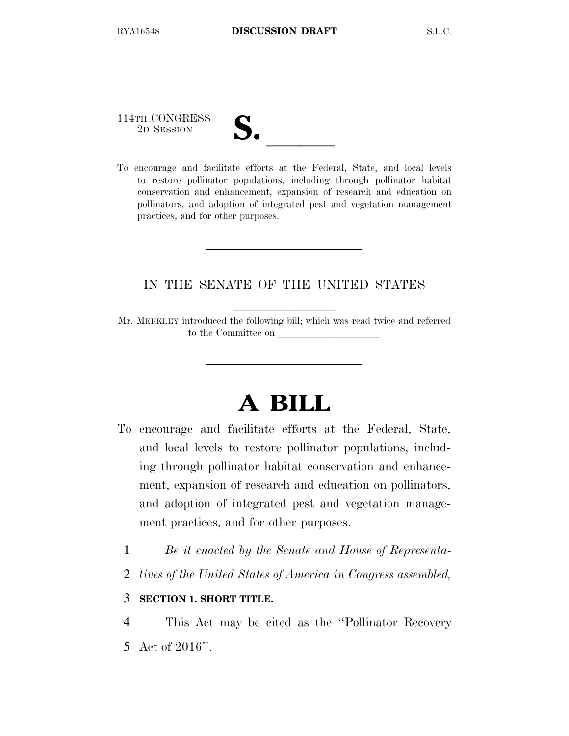114TH CONGRESS

| $\blacksquare$                |  |
|-------------------------------|--|
|                               |  |
| $\mathbf{\mathcal{U}}\bullet$ |  |
|                               |  |

114TH CONGRESS<br>
2D SESSION<br>
To encourage and facilitate efforts at the Federal, State, and local levels to restore pollinator populations, including through pollinator habitat conservation and enhancement, expansion of research and education on pollinators, and adoption of integrated pest and vegetation management practices, and for other purposes.

## IN THE SENATE OF THE UNITED STATES

Mr. MERKLEY introduced the following bill; which was read twice and referred to the Committee on

# **A BILL**

- To encourage and facilitate efforts at the Federal, State, and local levels to restore pollinator populations, including through pollinator habitat conservation and enhancement, expansion of research and education on pollinators, and adoption of integrated pest and vegetation management practices, and for other purposes.
	- 1 *Be it enacted by the Senate and House of Representa-*
	- 2 *tives of the United States of America in Congress assembled,*

## 3 **SECTION 1. SHORT TITLE.**

4 This Act may be cited as the ''Pollinator Recovery 5 Act of 2016''.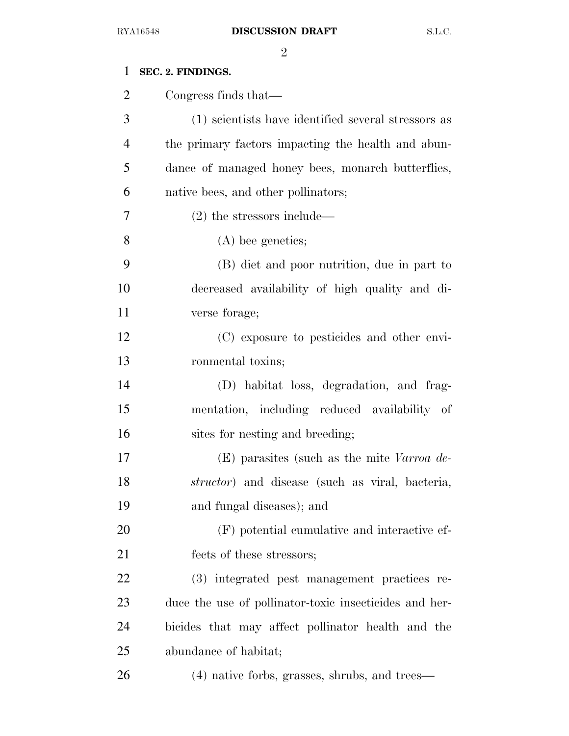| $\mathbf{1}$   | SEC. 2. FINDINGS.                                       |
|----------------|---------------------------------------------------------|
| $\overline{2}$ | Congress finds that—                                    |
| 3              | (1) scientists have identified several stressors as     |
| $\overline{4}$ | the primary factors impacting the health and abun-      |
| 5              | dance of managed honey bees, monarch butterflies,       |
| 6              | native bees, and other pollinators;                     |
| 7              | $(2)$ the stressors include—                            |
| 8              | $(A)$ bee genetics;                                     |
| 9              | (B) diet and poor nutrition, due in part to             |
| 10             | decreased availability of high quality and di-          |
| 11             | verse forage;                                           |
| 12             | (C) exposure to pesticides and other envi-              |
| 13             | ronmental toxins;                                       |
| 14             | (D) habitat loss, degradation, and frag-                |
| 15             | mentation, including reduced availability of            |
| 16             | sites for nesting and breeding;                         |
| 17             | $(E)$ parasites (such as the mite Varroa de-            |
| 18             | <i>structor</i> ) and disease (such as viral, bacteria, |
| 19             | and fungal diseases); and                               |
| 20             | (F) potential cumulative and interactive ef-            |
| 21             | fects of these stressors;                               |
| 22             | (3) integrated pest management practices re-            |
| 23             | duce the use of pollinator-toxic insecticides and her-  |
| 24             | bicides that may affect pollinator health and the       |
| 25             | abundance of habitat;                                   |
| 26             | (4) native forbs, grasses, shrubs, and trees—           |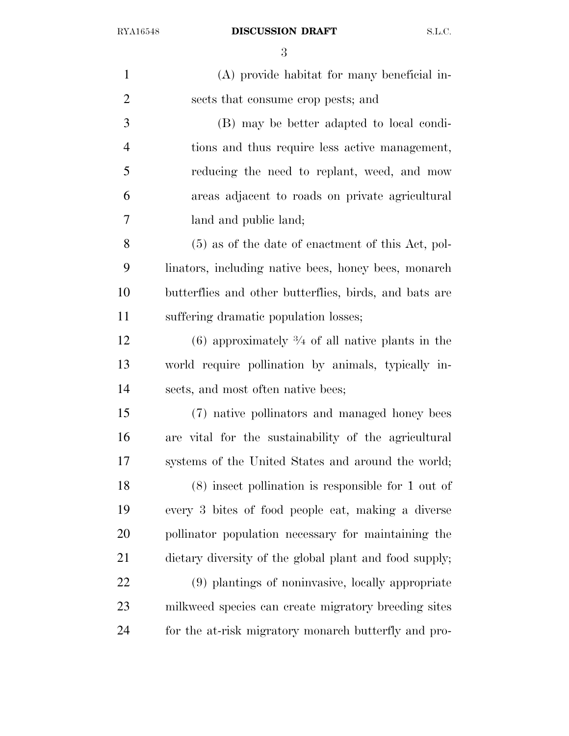| $\mathbf{1}$   | (A) provide habitat for many beneficial in-                   |
|----------------|---------------------------------------------------------------|
| $\overline{2}$ | sects that consume crop pests; and                            |
| 3              | (B) may be better adapted to local condi-                     |
| $\overline{4}$ | tions and thus require less active management,                |
| 5              | reducing the need to replant, weed, and mow                   |
| 6              | areas adjacent to roads on private agricultural               |
| 7              | land and public land;                                         |
| 8              | $(5)$ as of the date of enactment of this Act, pol-           |
| 9              | linators, including native bees, honey bees, monarch          |
| 10             | butterflies and other butterflies, birds, and bats are        |
| 11             | suffering dramatic population losses;                         |
| 12             | $(6)$ approximately $\frac{3}{4}$ of all native plants in the |
| 13             | world require pollination by animals, typically in-           |
| 14             | sects, and most often native bees;                            |
| 15             | (7) native pollinators and managed honey bees                 |
| 16             | are vital for the sustainability of the agricultural          |
| 17             | systems of the United States and around the world;            |
| 18             | $(8)$ insect pollination is responsible for 1 out of          |
| 19             | every 3 bites of food people eat, making a diverse            |
| 20             | pollinator population necessary for maintaining the           |
| 21             | dietary diversity of the global plant and food supply;        |
| 22             | (9) plantings of noninvasive, locally appropriate             |
| 23             | milkweed species can create migratory breeding sites          |
| 24             | for the at-risk migratory monarch butterfly and pro-          |
|                |                                                               |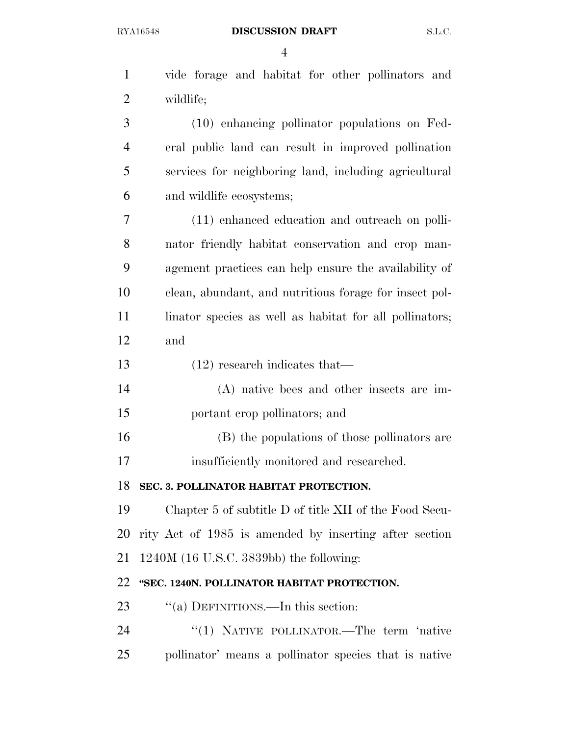| $\mathbf{1}$   | vide forage and habitat for other pollinators and       |
|----------------|---------------------------------------------------------|
| $\overline{2}$ | wildlife;                                               |
| 3              | (10) enhancing pollinator populations on Fed-           |
| $\overline{4}$ | eral public land can result in improved pollination     |
| 5              | services for neighboring land, including agricultural   |
| 6              | and wildlife ecosystems;                                |
| 7              | (11) enhanced education and outreach on polli-          |
| 8              | nator friendly habitat conservation and crop man-       |
| 9              | agement practices can help ensure the availability of   |
| 10             | clean, abundant, and nutritious forage for insect pol-  |
| 11             | linator species as well as habitat for all pollinators; |
| 12             | and                                                     |
| 13             | $(12)$ research indicates that—                         |
| 14             | (A) native bees and other insects are im-               |
| 15             | portant crop pollinators; and                           |
| 16             | (B) the populations of those pollinators are            |
| 17             | insufficiently monitored and researched.                |
| 18             | SEC. 3. POLLINATOR HABITAT PROTECTION.                  |
| 19             | Chapter 5 of subtitle D of title XII of the Food Secu-  |
| 20             | rity Act of 1985 is amended by inserting after section  |
| 21             | $1240M$ (16 U.S.C. 3839bb) the following:               |
| 22             | "SEC. 1240N. POLLINATOR HABITAT PROTECTION.             |
| 23             | "(a) DEFINITIONS.—In this section:                      |
| 24             | "(1) NATIVE POLLINATOR.—The term 'native                |
|                |                                                         |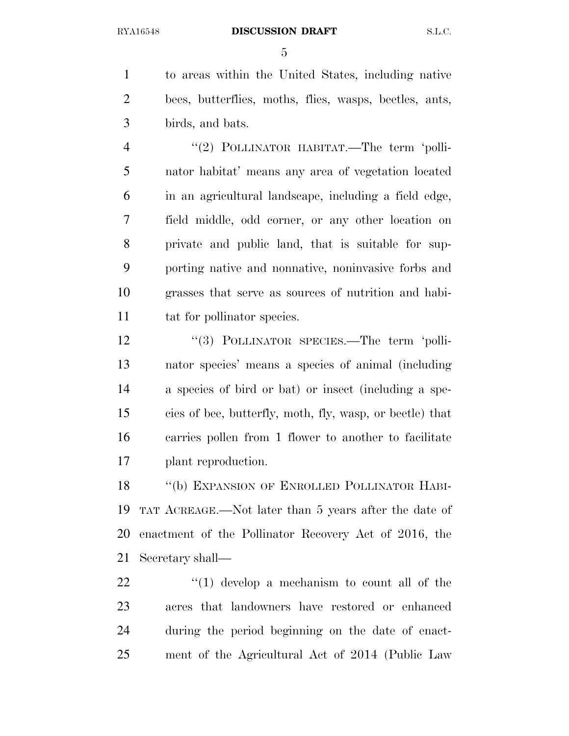to areas within the United States, including native bees, butterflies, moths, flies, wasps, beetles, ants, birds, and bats.

4 "(2) POLLINATOR HABITAT.—The term 'polli- nator habitat' means any area of vegetation located in an agricultural landscape, including a field edge, field middle, odd corner, or any other location on private and public land, that is suitable for sup- porting native and nonnative, noninvasive forbs and grasses that serve as sources of nutrition and habi-11 tat for pollinator species.

12 "(3) POLLINATOR SPECIES.—The term 'polli- nator species' means a species of animal (including a species of bird or bat) or insect (including a spe- cies of bee, butterfly, moth, fly, wasp, or beetle) that carries pollen from 1 flower to another to facilitate plant reproduction.

18 "(b) EXPANSION OF ENROLLED POLLINATOR HABI- TAT ACREAGE.—Not later than 5 years after the date of enactment of the Pollinator Recovery Act of 2016, the Secretary shall—

  $\qquad$   $\qquad$   $\qquad$   $\qquad$   $\qquad$   $\qquad$   $\qquad$   $\qquad$   $\qquad$   $\qquad$   $\qquad$   $\qquad$   $\qquad$   $\qquad$   $\qquad$   $\qquad$   $\qquad$   $\qquad$   $\qquad$   $\qquad$   $\qquad$   $\qquad$   $\qquad$   $\qquad$   $\qquad$   $\qquad$   $\qquad$   $\qquad$   $\qquad$   $\qquad$   $\qquad$   $\qquad$   $\qquad$   $\qquad$   $\qquad$   $\qquad$  acres that landowners have restored or enhanced during the period beginning on the date of enact-ment of the Agricultural Act of 2014 (Public Law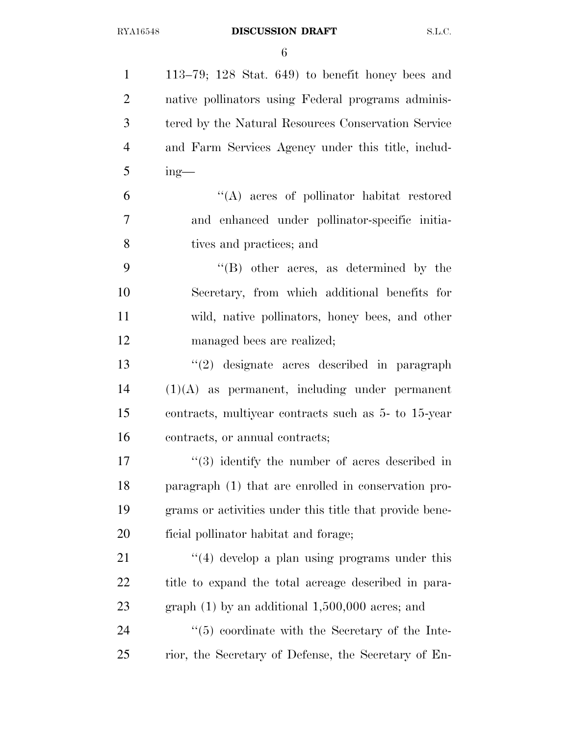113–79; 128 Stat. 649) to benefit honey bees and native pollinators using Federal programs adminis- tered by the Natural Resources Conservation Service and Farm Services Agency under this title, includ- $5 \qquad \text{ing}$ — ''(A) acres of pollinator habitat restored and enhanced under pollinator-specific initia- tives and practices; and ''(B) other acres, as determined by the Secretary, from which additional benefits for wild, native pollinators, honey bees, and other managed bees are realized; ''(2) designate acres described in paragraph (1)(A) as permanent, including under permanent contracts, multiyear contracts such as 5- to 15-year contracts, or annual contracts; 17 ''(3) identify the number of acres described in paragraph (1) that are enrolled in conservation pro- grams or activities under this title that provide bene- ficial pollinator habitat and forage; 21 ''(4) develop a plan using programs under this title to expand the total acreage described in para- graph (1) by an additional 1,500,000 acres; and 24 ''(5) coordinate with the Secretary of the Inte-rior, the Secretary of Defense, the Secretary of En-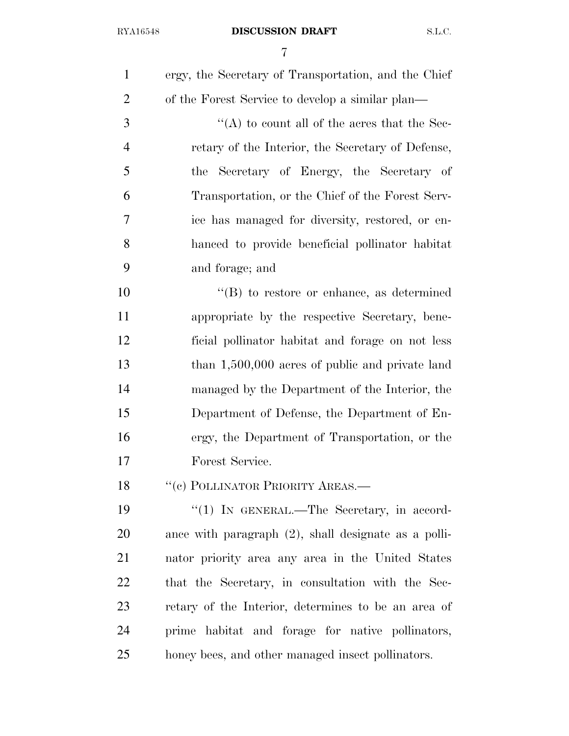| $\mathbf{1}$   | ergy, the Secretary of Transportation, and the Chief    |
|----------------|---------------------------------------------------------|
| $\overline{2}$ | of the Forest Service to develop a similar plan—        |
| 3              | "(A) to count all of the acres that the Sec-            |
| $\overline{4}$ | retary of the Interior, the Secretary of Defense,       |
| 5              | the Secretary of Energy, the Secretary of               |
| 6              | Transportation, or the Chief of the Forest Serv-        |
| 7              | ice has managed for diversity, restored, or en-         |
| 8              | hanced to provide beneficial pollinator habitat         |
| 9              | and forage; and                                         |
| 10             | $\lq\lq (B)$ to restore or enhance, as determined       |
| 11             | appropriate by the respective Secretary, bene-          |
| 12             | ficial pollinator habitat and forage on not less        |
| 13             | than $1,500,000$ acres of public and private land       |
| 14             | managed by the Department of the Interior, the          |
| 15             | Department of Defense, the Department of En-            |
| 16             | ergy, the Department of Transportation, or the          |
| 17             | Forest Service.                                         |
| 18             | "(c) POLLINATOR PRIORITY AREAS.-                        |
| 19             | " $(1)$ In GENERAL.—The Secretary, in accord-           |
| 20             | ance with paragraph $(2)$ , shall designate as a polli- |
| 21             | nator priority area any area in the United States       |
| 22             | that the Secretary, in consultation with the Sec-       |
| 23             | retary of the Interior, determines to be an area of     |
| 24             | prime habitat and forage for native pollinators,        |
| 25             | honey bees, and other managed insect pollinators.       |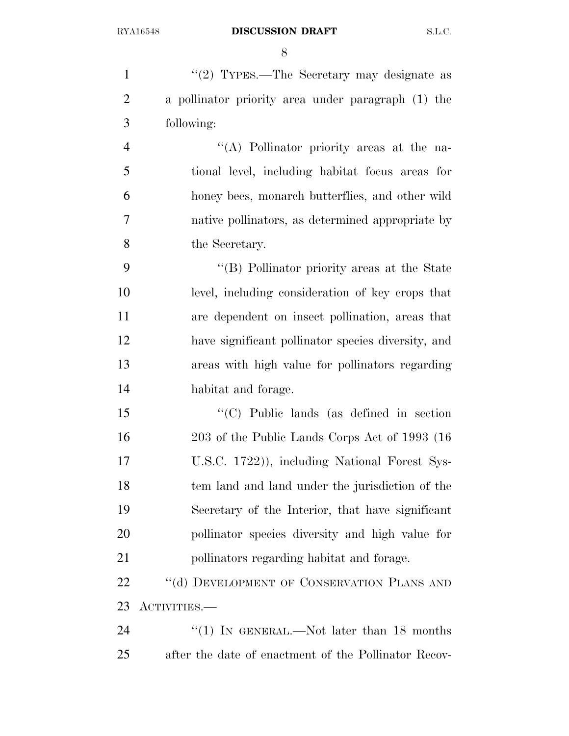1 ''(2) TYPES.—The Secretary may designate as a pollinator priority area under paragraph (1) the following: ''(A) Pollinator priority areas at the na- tional level, including habitat focus areas for honey bees, monarch butterflies, and other wild native pollinators, as determined appropriate by the Secretary. ''(B) Pollinator priority areas at the State level, including consideration of key crops that are dependent on insect pollination, areas that have significant pollinator species diversity, and areas with high value for pollinators regarding habitat and forage. ''(C) Public lands (as defined in section 203 of the Public Lands Corps Act of 1993 (16 U.S.C. 1722)), including National Forest Sys- tem land and land under the jurisdiction of the Secretary of the Interior, that have significant pollinator species diversity and high value for pollinators regarding habitat and forage. 22 "(d) DEVELOPMENT OF CONSERVATION PLANS AND ACTIVITIES.— 24 "(1) IN GENERAL.—Not later than 18 months after the date of enactment of the Pollinator Recov-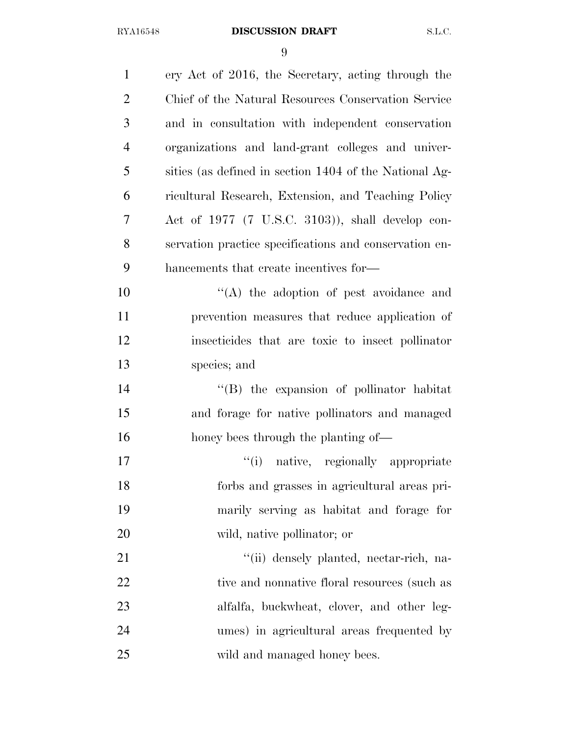| $\mathbf{1}$   | ery Act of 2016, the Secretary, acting through the     |
|----------------|--------------------------------------------------------|
| $\overline{2}$ | Chief of the Natural Resources Conservation Service    |
| 3              | and in consultation with independent conservation      |
| $\overline{4}$ | organizations and land-grant colleges and univer-      |
| 5              | sities (as defined in section 1404 of the National Ag- |
| 6              | ricultural Research, Extension, and Teaching Policy    |
| $\overline{7}$ | Act of $1977$ (7 U.S.C. 3103)), shall develop con-     |
| 8              | servation practice specifications and conservation en- |
| 9              | hancements that create incentives for-                 |
| 10             | "(A) the adoption of pest avoidance and                |
| 11             | prevention measures that reduce application of         |
| 12             | insecticides that are toxic to insect pollinator       |
| 13             | species; and                                           |
| 14             | "(B) the expansion of pollinator habitat               |
| 15             | and forage for native pollinators and managed          |
| 16             | honey bees through the planting of—                    |
| 17             | "(i) native, regionally appropriate                    |
| 18             | forbs and grasses in agricultural areas pri-           |
| 19             | marily serving as habitat and forage for               |
| 20             | wild, native pollinator; or                            |
| 21             | "(ii) densely planted, nectar-rich, na-                |
| 22             | tive and nonnative floral resources (such as           |
| 23             | alfalfa, buckwheat, clover, and other leg-             |
| 24             | umes) in agricultural areas frequented by              |
| 25             | wild and managed honey bees.                           |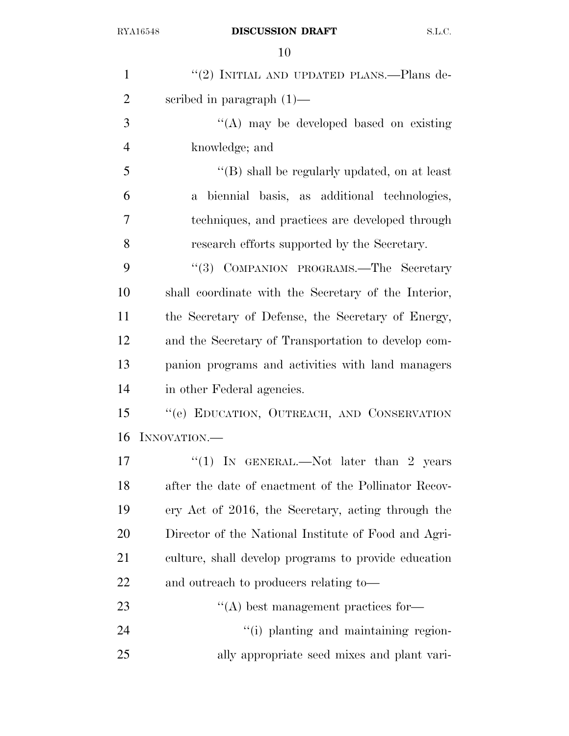| $\mathbf{1}$   | "(2) INITIAL AND UPDATED PLANS.—Plans de-            |
|----------------|------------------------------------------------------|
| $\overline{2}$ | scribed in paragraph $(1)$ —                         |
| 3              | $\lq\lq$ may be developed based on existing          |
| $\overline{4}$ | knowledge; and                                       |
| 5              | "(B) shall be regularly updated, on at least         |
| 6              | a biennial basis, as additional technologies,        |
| 7              | techniques, and practices are developed through      |
| 8              | research efforts supported by the Secretary.         |
| 9              | "(3) COMPANION PROGRAMS.—The Secretary               |
| 10             | shall coordinate with the Secretary of the Interior, |
| 11             | the Secretary of Defense, the Secretary of Energy,   |
| 12             | and the Secretary of Transportation to develop com-  |
| 13             | panion programs and activities with land managers    |
| 14             | in other Federal agencies.                           |
| 15             | "(e) EDUCATION, OUTREACH, AND CONSERVATION           |
| 16             | INNOVATION.                                          |
| 17             | "(1) IN GENERAL.—Not later than 2 years              |
| 18             | after the date of enactment of the Pollinator Recov- |
| 19             | ery Act of 2016, the Secretary, acting through the   |
| 20             | Director of the National Institute of Food and Agri- |
| 21             | culture, shall develop programs to provide education |
| 22             | and outreach to producers relating to—               |
| 23             | $\lq\lq$ best management practices for-              |
| 24             | "(i) planting and maintaining region-                |
| 25             | ally appropriate seed mixes and plant vari-          |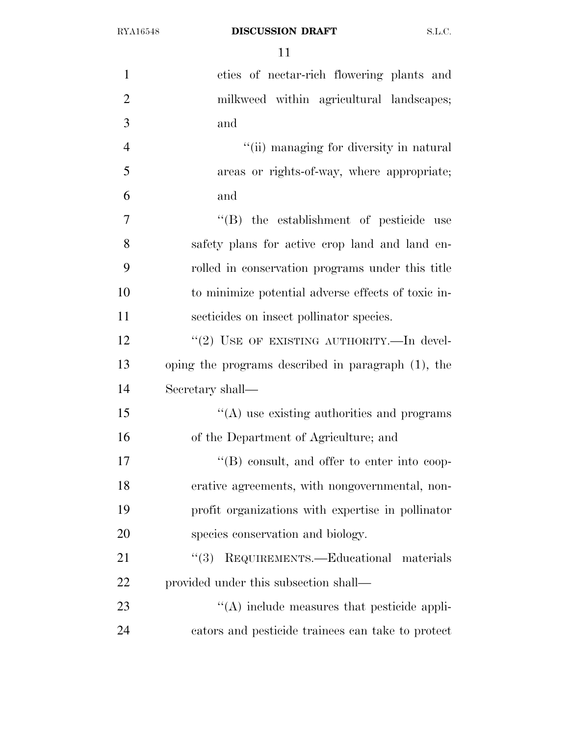| $\mathbf{1}$   | eties of nectar-rich flowering plants and             |
|----------------|-------------------------------------------------------|
| $\overline{2}$ | milkweed within agricultural landscapes;              |
| 3              | and                                                   |
| $\overline{4}$ | "(ii) managing for diversity in natural               |
| 5              | areas or rights-of-way, where appropriate;            |
| 6              | and                                                   |
| $\overline{7}$ | "(B) the establishment of pesticide use               |
| 8              | safety plans for active crop land and land en-        |
| 9              | rolled in conservation programs under this title      |
| 10             | to minimize potential adverse effects of toxic in-    |
| 11             | secticides on insect pollinator species.              |
| 12             | "(2) USE OF EXISTING AUTHORITY.—In devel-             |
| 13             | oping the programs described in paragraph $(1)$ , the |
| 14             | Secretary shall—                                      |
| 15             | $\lq\lq$ use existing authorities and programs        |
| 16             | of the Department of Agriculture; and                 |
| 17             | $\lq\lq (B)$ consult, and offer to enter into coop-   |
| 18             | erative agreements, with nongovernmental, non-        |
| 19             | profit organizations with expertise in pollinator     |
| 20             | species conservation and biology.                     |
| 21             | (3)<br>REQUIREMENTS.—Educational materials            |
| 22             | provided under this subsection shall—                 |
| 23             | "(A) include measures that pesticide appli-           |
| 24             | cators and pesticide trainees can take to protect     |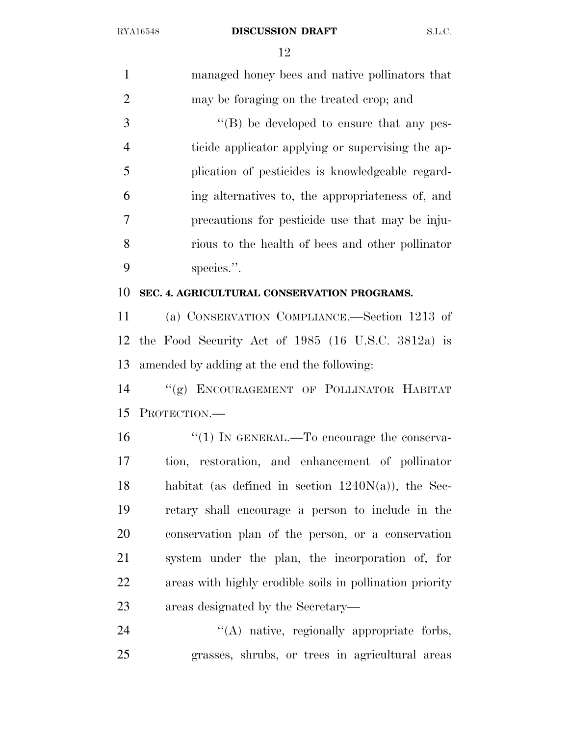| $\mathbf{1}$   | managed honey bees and native pollinators that           |
|----------------|----------------------------------------------------------|
| $\overline{2}$ | may be foraging on the treated crop; and                 |
| 3              | $\lq\lq (B)$ be developed to ensure that any pes-        |
| $\overline{4}$ | ticide applicator applying or supervising the ap-        |
| 5              | plication of pesticides is knowledgeable regard-         |
| 6              | ing alternatives to, the appropriateness of, and         |
| 7              | precautions for pesticide use that may be inju-          |
| 8              | rious to the health of bees and other pollinator         |
| 9              | species.".                                               |
| 10             | SEC. 4. AGRICULTURAL CONSERVATION PROGRAMS.              |
| 11             | (a) CONSERVATION COMPLIANCE.—Section 1213 of             |
| 12             | the Food Security Act of $1985$ (16 U.S.C. 3812a) is     |
| 13             | amended by adding at the end the following:              |
| 14             | "(g) ENCOURAGEMENT OF POLLINATOR HABITAT                 |
| 15             | PROTECTION.                                              |
| 16             | " $(1)$ IN GENERAL.—To encourage the conserva-           |
| 17             | tion, restoration, and enhancement of pollinator         |
| 18             | habitat (as defined in section $1240N(a)$ ), the Sec-    |
| 19             | retary shall encourage a person to include in the        |
| 20             | conservation plan of the person, or a conservation       |
| 21             | system under the plan, the incorporation of, for         |
| 22             | areas with highly erodible soils in pollination priority |
| 23             | areas designated by the Secretary—                       |
| 24             | "(A) native, regionally appropriate forbs,               |
| 25             | grasses, shrubs, or trees in agricultural areas          |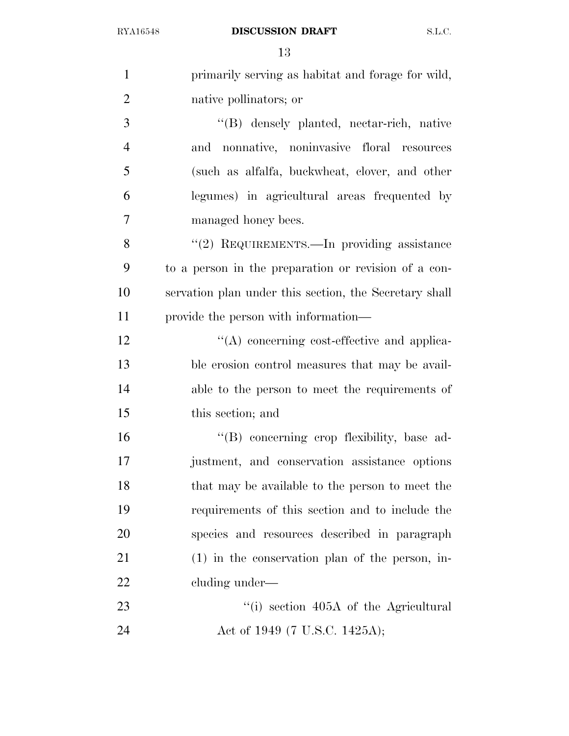| $\mathbf{1}$   | primarily serving as habitat and forage for wild,      |
|----------------|--------------------------------------------------------|
| $\overline{2}$ | native pollinators; or                                 |
| 3              | "(B) densely planted, nectar-rich, native              |
| $\overline{4}$ | and nonnative, noninvasive floral resources            |
| 5              | (such as alfalfa, buckwheat, clover, and other         |
| 6              | legumes) in agricultural areas frequented by           |
| $\overline{7}$ | managed honey bees.                                    |
| 8              | "(2) REQUIREMENTS.—In providing assistance             |
| 9              | to a person in the preparation or revision of a con-   |
| 10             | servation plan under this section, the Secretary shall |
| 11             | provide the person with information—                   |
| 12             | "(A) concerning cost-effective and applica-            |
| 13             | ble erosion control measures that may be avail-        |
| 14             | able to the person to meet the requirements of         |
| 15             | this section; and                                      |
| 16             | "(B) concerning crop flexibility, base ad-             |
| 17             | justment, and conservation assistance options          |
| 18             | that may be available to the person to meet the        |
| 19             | requirements of this section and to include the        |
| 20             | species and resources described in paragraph           |
| 21             | $(1)$ in the conservation plan of the person, in-      |
| 22             | cluding under—                                         |
| 23             | "(i) section 405A of the Agricultural                  |
| 24             | Act of 1949 (7 U.S.C. 1425A);                          |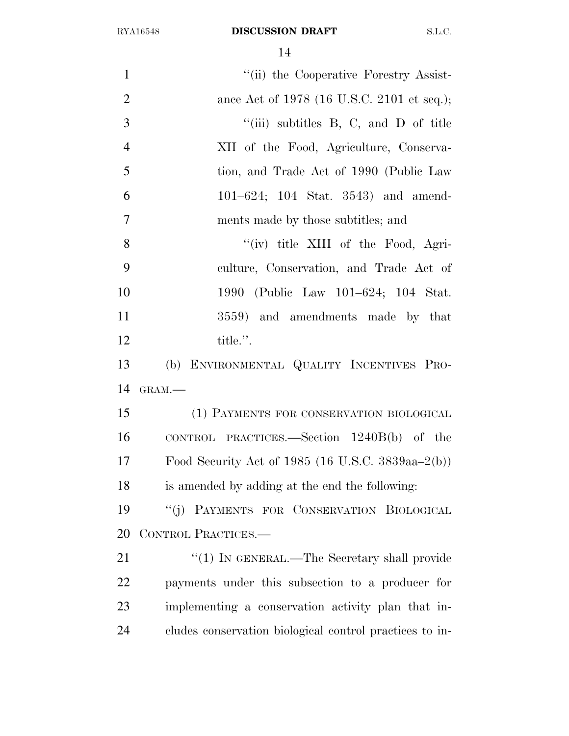| $\mathbf{1}$<br>"(ii) the Cooperative Forestry Assist-<br>$\overline{2}$<br>ance Act of 1978 (16 U.S.C. 2101 et seq.);<br>3<br>"(iii) subtitles $B$ , $C$ , and $D$ of title<br>$\overline{4}$<br>XII of the Food, Agriculture, Conserva-<br>5<br>tion, and Trade Act of 1990 (Public Law<br>6<br>$101-624$ ; $104$ Stat. $3543$ ) and amend-<br>$\overline{7}$<br>ments made by those subtitles; and<br>8<br>"(iv) title XIII of the Food, Agri-<br>9<br>culture, Conservation, and Trade Act of<br>10<br>1990 (Public Law 101–624; 104 Stat.<br>11<br>3559) and amendments made by that<br>12<br>title.".<br>13<br>(b) ENVIRONMENTAL QUALITY INCENTIVES PRO-<br>14<br>GRAM.-<br>15<br>(1) PAYMENTS FOR CONSERVATION BIOLOGICAL<br>16<br>CONTROL PRACTICES.—Section $1240B(b)$ of the<br>17<br>Food Security Act of 1985 $(16 \text{ U.S.C. } 3839 \text{aa} - 2(\text{b}))$ |
|-------------------------------------------------------------------------------------------------------------------------------------------------------------------------------------------------------------------------------------------------------------------------------------------------------------------------------------------------------------------------------------------------------------------------------------------------------------------------------------------------------------------------------------------------------------------------------------------------------------------------------------------------------------------------------------------------------------------------------------------------------------------------------------------------------------------------------------------------------------------------------|
|                                                                                                                                                                                                                                                                                                                                                                                                                                                                                                                                                                                                                                                                                                                                                                                                                                                                               |
|                                                                                                                                                                                                                                                                                                                                                                                                                                                                                                                                                                                                                                                                                                                                                                                                                                                                               |
|                                                                                                                                                                                                                                                                                                                                                                                                                                                                                                                                                                                                                                                                                                                                                                                                                                                                               |
|                                                                                                                                                                                                                                                                                                                                                                                                                                                                                                                                                                                                                                                                                                                                                                                                                                                                               |
|                                                                                                                                                                                                                                                                                                                                                                                                                                                                                                                                                                                                                                                                                                                                                                                                                                                                               |
|                                                                                                                                                                                                                                                                                                                                                                                                                                                                                                                                                                                                                                                                                                                                                                                                                                                                               |
|                                                                                                                                                                                                                                                                                                                                                                                                                                                                                                                                                                                                                                                                                                                                                                                                                                                                               |
|                                                                                                                                                                                                                                                                                                                                                                                                                                                                                                                                                                                                                                                                                                                                                                                                                                                                               |
|                                                                                                                                                                                                                                                                                                                                                                                                                                                                                                                                                                                                                                                                                                                                                                                                                                                                               |
|                                                                                                                                                                                                                                                                                                                                                                                                                                                                                                                                                                                                                                                                                                                                                                                                                                                                               |
|                                                                                                                                                                                                                                                                                                                                                                                                                                                                                                                                                                                                                                                                                                                                                                                                                                                                               |
|                                                                                                                                                                                                                                                                                                                                                                                                                                                                                                                                                                                                                                                                                                                                                                                                                                                                               |
|                                                                                                                                                                                                                                                                                                                                                                                                                                                                                                                                                                                                                                                                                                                                                                                                                                                                               |
|                                                                                                                                                                                                                                                                                                                                                                                                                                                                                                                                                                                                                                                                                                                                                                                                                                                                               |
|                                                                                                                                                                                                                                                                                                                                                                                                                                                                                                                                                                                                                                                                                                                                                                                                                                                                               |
|                                                                                                                                                                                                                                                                                                                                                                                                                                                                                                                                                                                                                                                                                                                                                                                                                                                                               |
|                                                                                                                                                                                                                                                                                                                                                                                                                                                                                                                                                                                                                                                                                                                                                                                                                                                                               |
| 18<br>is amended by adding at the end the following:                                                                                                                                                                                                                                                                                                                                                                                                                                                                                                                                                                                                                                                                                                                                                                                                                          |
| 19<br>"(j) PAYMENTS FOR CONSERVATION BIOLOGICAL                                                                                                                                                                                                                                                                                                                                                                                                                                                                                                                                                                                                                                                                                                                                                                                                                               |
| 20<br>CONTROL PRACTICES.-                                                                                                                                                                                                                                                                                                                                                                                                                                                                                                                                                                                                                                                                                                                                                                                                                                                     |
| 21<br>" $(1)$ In GENERAL.—The Secretary shall provide                                                                                                                                                                                                                                                                                                                                                                                                                                                                                                                                                                                                                                                                                                                                                                                                                         |
| 22<br>payments under this subsection to a producer for                                                                                                                                                                                                                                                                                                                                                                                                                                                                                                                                                                                                                                                                                                                                                                                                                        |
| 23<br>implementing a conservation activity plan that in-                                                                                                                                                                                                                                                                                                                                                                                                                                                                                                                                                                                                                                                                                                                                                                                                                      |
| 24<br>cludes conservation biological control practices to in-                                                                                                                                                                                                                                                                                                                                                                                                                                                                                                                                                                                                                                                                                                                                                                                                                 |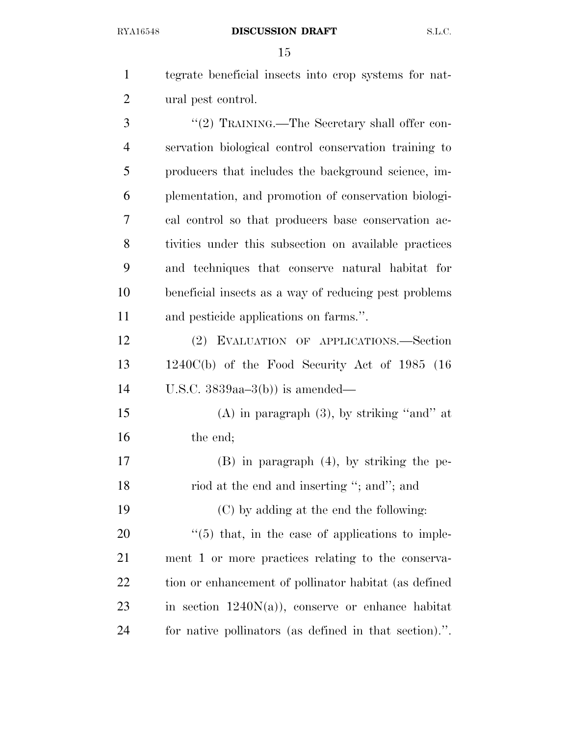tegrate beneficial insects into crop systems for nat-ural pest control.

3 "(2) TRAINING.—The Secretary shall offer con- servation biological control conservation training to producers that includes the background science, im- plementation, and promotion of conservation biologi- cal control so that producers base conservation ac- tivities under this subsection on available practices and techniques that conserve natural habitat for beneficial insects as a way of reducing pest problems and pesticide applications on farms.''.

 (2) EVALUATION OF APPLICATIONS.—Section 1240C(b) of the Food Security Act of 1985 (16 U.S.C. 3839aa–3(b)) is amended—

 (A) in paragraph (3), by striking ''and'' at 16 the end;

 (B) in paragraph (4), by striking the pe-18 riod at the end and inserting "; and"; and

 (C) by adding at the end the following: ''(5) that, in the case of applications to imple- ment 1 or more practices relating to the conserva-22 tion or enhancement of pollinator habitat (as defined 23 in section  $1240N(a)$ , conserve or enhance habitat for native pollinators (as defined in that section).''.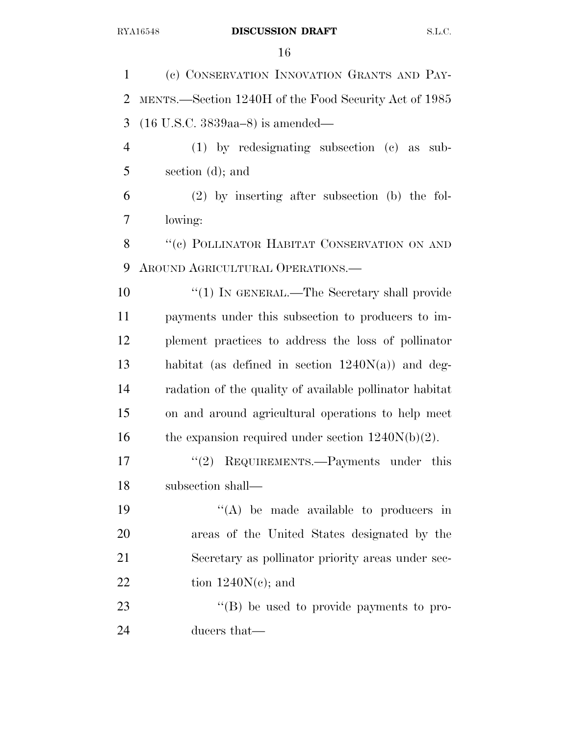(c) CONSERVATION INNOVATION GRANTS AND PAY- MENTS.—Section 1240H of the Food Security Act of 1985 (16 U.S.C. 3839aa–8) is amended— (1) by redesignating subsection (c) as sub- section (d); and (2) by inserting after subsection (b) the fol- lowing: 8 "(c) POLLINATOR HABITAT CONSERVATION ON AND AROUND AGRICULTURAL OPERATIONS.—  $\frac{1}{1}$  IN GENERAL.—The Secretary shall provide payments under this subsection to producers to im- plement practices to address the loss of pollinator habitat (as defined in section 1240N(a)) and deg- radation of the quality of available pollinator habitat on and around agricultural operations to help meet 16 the expansion required under section  $1240N(b)(2)$ . 17 "(2) REQUIREMENTS.—Payments under this subsection shall—  $((A)$  be made available to producers in areas of the United States designated by the Secretary as pollinator priority areas under sec-22 tion  $1240N(c)$ ; and  $\langle (B) \rangle$  be used to provide payments to pro-ducers that—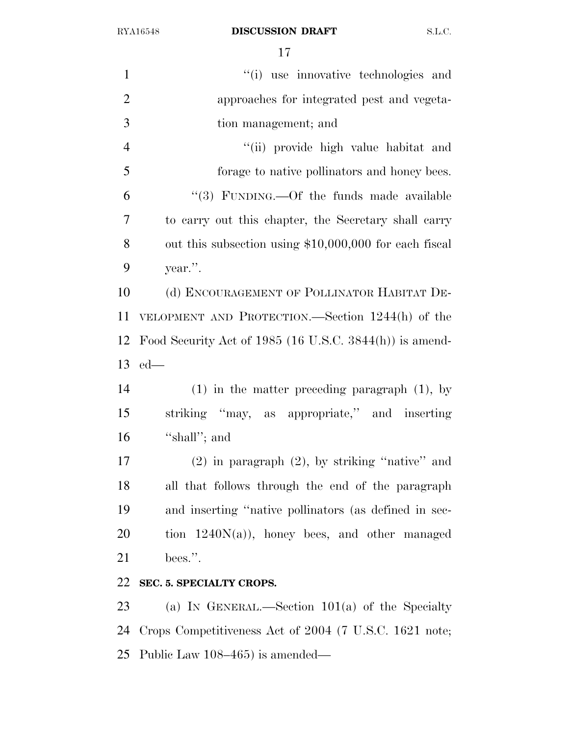| $\mathbf{1}$   | "(i) use innovative technologies and                       |
|----------------|------------------------------------------------------------|
| $\overline{2}$ | approaches for integrated pest and vegeta-                 |
| 3              | tion management; and                                       |
| $\overline{4}$ | "(ii) provide high value habitat and                       |
| 5              | forage to native pollinators and honey bees.               |
| 6              | "(3) FUNDING.—Of the funds made available                  |
| 7              | to carry out this chapter, the Secretary shall carry       |
| 8              | out this subsection using \$10,000,000 for each fiscal     |
| 9              | year.".                                                    |
| 10             | (d) ENCOURAGEMENT OF POLLINATOR HABITAT DE-                |
| 11             | VELOPMENT AND PROTECTION.—Section 1244(h) of the           |
| 12             | Food Security Act of 1985 (16 U.S.C. $3844(h)$ ) is amend- |
| 13             | $ed$ —                                                     |
| 14             | $(1)$ in the matter preceding paragraph $(1)$ , by         |
| 15             | striking "may, as appropriate," and inserting              |
| 16             | "shall"; and                                               |
| 17             | $(2)$ in paragraph $(2)$ , by striking "native" and        |
| 18             | all that follows through the end of the paragraph          |
| 19             | and inserting "native pollinators (as defined in sec-      |
| 20             | tion $1240N(a)$ , honey bees, and other managed            |
| 21             | bees.".                                                    |
| 22             | SEC. 5. SPECIALTY CROPS.                                   |
| 23             | (a) IN GENERAL.—Section $101(a)$ of the Specialty          |
| 24             | Crops Competitiveness Act of 2004 (7 U.S.C. 1621 note;     |
| 25             | Public Law 108–465) is amended—                            |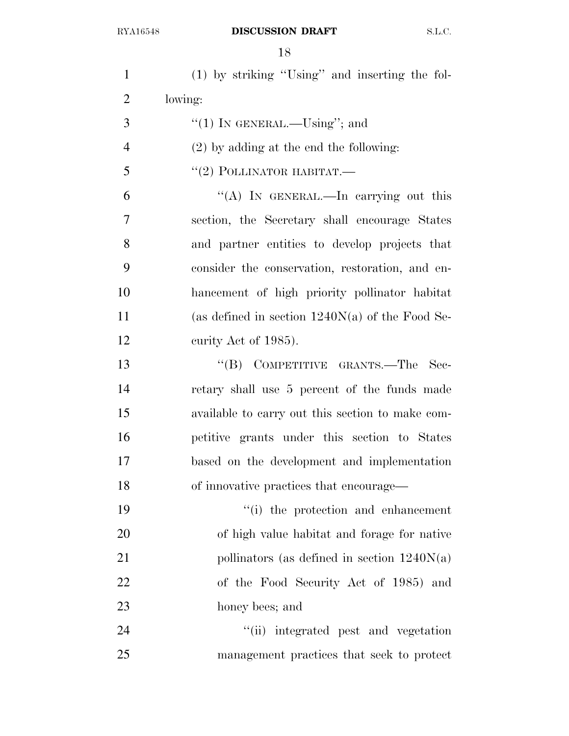| $\mathbf{1}$   | $(1)$ by striking "Using" and inserting the fol-  |
|----------------|---------------------------------------------------|
| $\overline{2}$ | lowing:                                           |
| 3              | "(1) IN GENERAL.— $Using$ "; and                  |
| $\overline{4}$ | $(2)$ by adding at the end the following:         |
| 5              | $``(2)$ POLLINATOR HABITAT.—                      |
| 6              | "(A) IN GENERAL.—In carrying out this             |
| 7              | section, the Secretary shall encourage States     |
| 8              | and partner entities to develop projects that     |
| 9              | consider the conservation, restoration, and en-   |
| 10             | hancement of high priority pollinator habitat     |
| 11             | (as defined in section $1240N(a)$ of the Food Se- |
| 12             | curity Act of 1985).                              |
| 13             | "(B) COMPETITIVE GRANTS.—The<br>- Sec-            |
| 14             | retary shall use 5 percent of the funds made      |
| 15             | available to carry out this section to make com-  |
| 16             | petitive grants under this section to States      |
| 17             | based on the development and implementation       |
| 18             | of innovative practices that encourage—           |
| 19             | "(i) the protection and enhancement               |
| 20             | of high value habitat and forage for native       |
| 21             | pollinators (as defined in section $1240N(a)$ )   |
| 22             | of the Food Security Act of 1985) and             |
| 23             | honey bees; and                                   |
| 24             | "(ii) integrated pest and vegetation              |
| 25             | management practices that seek to protect         |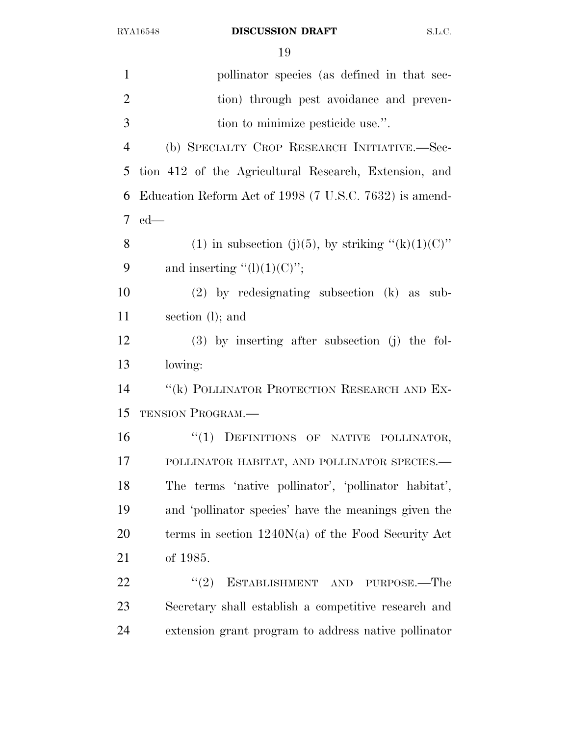| $\mathbf{1}$   | pollinator species (as defined in that sec-            |
|----------------|--------------------------------------------------------|
| $\overline{2}$ | tion) through pest avoidance and preven-               |
| 3              | tion to minimize pesticide use.".                      |
| $\overline{4}$ | (b) SPECIALTY CROP RESEARCH INITIATIVE.-Sec-           |
| 5              | tion 412 of the Agricultural Research, Extension, and  |
| 6              | Education Reform Act of 1998 (7 U.S.C. 7632) is amend- |
| 7              | $ed$ —                                                 |
| 8              | (1) in subsection (j)(5), by striking " $(k)(1)(C)$ "  |
| 9              | and inserting " $(l)(1)(C)$ ";                         |
| 10             | $(2)$ by redesignating subsection $(k)$ as sub-        |
| 11             | section $(l)$ ; and                                    |
| 12             | $(3)$ by inserting after subsection (j) the fol-       |
| 13             | lowing:                                                |
| 14             | "(k) POLLINATOR PROTECTION RESEARCH AND EX-            |
| 15             | <b>TENSION PROGRAM.—</b>                               |
| 16             | "(1) DEFINITIONS OF NATIVE POLLINATOR,                 |
| 17             | POLLINATOR HABITAT, AND POLLINATOR SPECIES.-           |
| 18             | The terms 'native pollinator', 'pollinator habitat',   |
| 19             | and 'pollinator species' have the meanings given the   |
| 20             | terms in section $1240N(a)$ of the Food Security Act   |
| 21             | of 1985.                                               |
| 22             | (2)<br>ESTABLISHMENT AND PURPOSE.—The                  |
| 23             | Secretary shall establish a competitive research and   |
| 24             | extension grant program to address native pollinator   |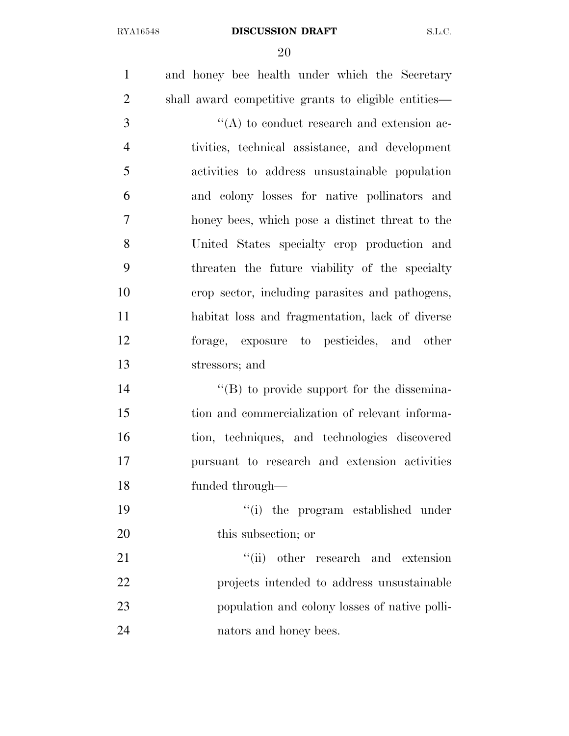and honey bee health under which the Secretary shall award competitive grants to eligible entities—  $\langle (A) \rangle$  to conduct research and extension ac- tivities, technical assistance, and development activities to address unsustainable population and colony losses for native pollinators and honey bees, which pose a distinct threat to the United States specialty crop production and threaten the future viability of the specialty crop sector, including parasites and pathogens, habitat loss and fragmentation, lack of diverse forage, exposure to pesticides, and other stressors; and  $\langle$  (B) to provide support for the dissemina- tion and commercialization of relevant informa- tion, techniques, and technologies discovered pursuant to research and extension activities funded through— ''(i) the program established under this subsection; or 21 ''(ii) other research and extension projects intended to address unsustainable population and colony losses of native polli-nators and honey bees.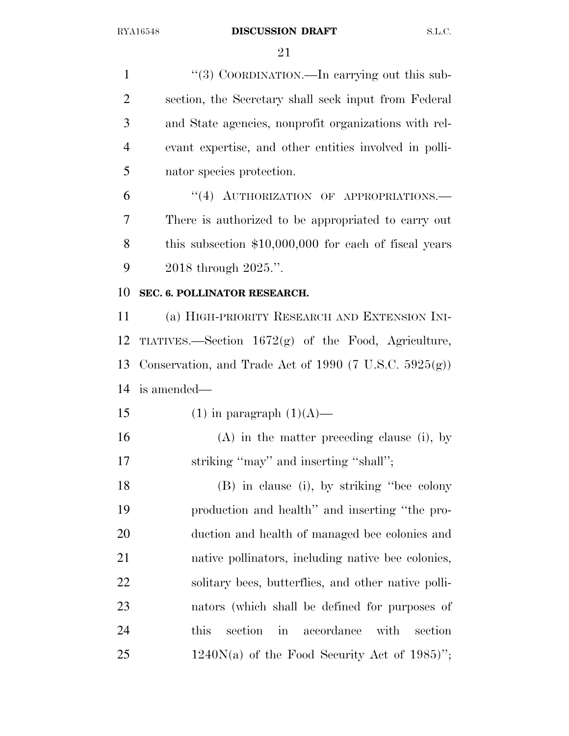1 "(3) COORDINATION.—In carrying out this sub- section, the Secretary shall seek input from Federal and State agencies, nonprofit organizations with rel- evant expertise, and other entities involved in polli- nator species protection. 6 "(4) AUTHORIZATION OF APPROPRIATIONS. There is authorized to be appropriated to carry out this subsection \$10,000,000 for each of fiscal years 2018 through 2025.''. **SEC. 6. POLLINATOR RESEARCH.**  (a) HIGH-PRIORITY RESEARCH AND EXTENSION INI- TIATIVES.—Section 1672(g) of the Food, Agriculture, Conservation, and Trade Act of 1990 (7 U.S.C. 5925(g)) is amended— 15 (1) in paragraph  $(1)(A)$ — (A) in the matter preceding clause (i), by striking ''may'' and inserting ''shall''; (B) in clause (i), by striking ''bee colony production and health'' and inserting ''the pro- duction and health of managed bee colonies and native pollinators, including native bee colonies, solitary bees, butterflies, and other native polli- nators (which shall be defined for purposes of this section in accordance with section

25 1240 $N(a)$  of the Food Security Act of 1985)";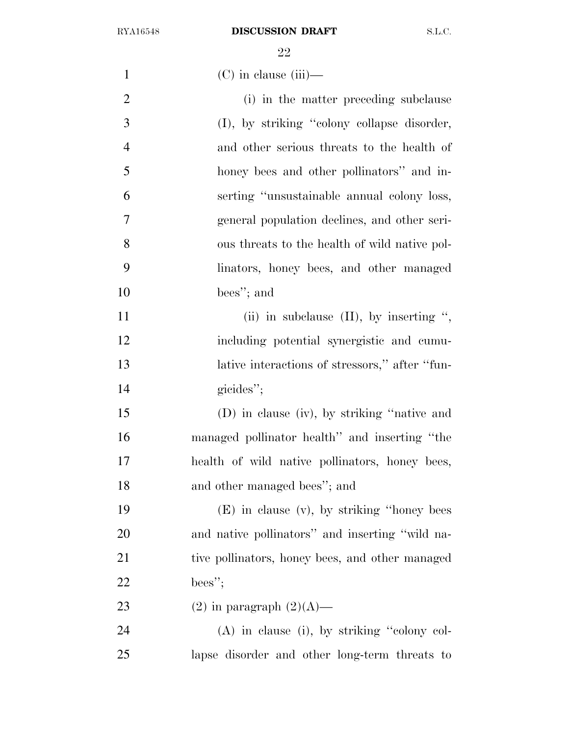| $\mathbf{1}$   | $(C)$ in clause (iii)—                          |
|----------------|-------------------------------------------------|
| $\overline{2}$ | (i) in the matter preceding subclause           |
| 3              | (I), by striking "colony collapse disorder,     |
| $\overline{4}$ | and other serious threats to the health of      |
| 5              | honey bees and other pollinators" and in-       |
| 6              | serting "unsustainable annual colony loss,      |
| 7              | general population declines, and other seri-    |
| 8              | ous threats to the health of wild native pol-   |
| 9              | linators, honey bees, and other managed         |
| 10             | bees"; and                                      |
| 11             | (ii) in subclause $(II)$ , by inserting ",      |
| 12             | including potential synergistic and cumu-       |
| 13             | lative interactions of stressors," after "fun-  |
| 14             | gicides";                                       |
| 15             | (D) in clause (iv), by striking "native and     |
| 16             | managed pollinator health" and inserting "the   |
| 17             | health of wild native pollinators, honey bees,  |
| 18             | and other managed bees"; and                    |
| 19             | $(E)$ in clause $(v)$ , by striking "honey bees |
| 20             | and native pollinators" and inserting "wild na- |
| 21             | tive pollinators, honey bees, and other managed |
| 22             | bees";                                          |
| 23             | $(2)$ in paragraph $(2)(A)$ —                   |
| 24             | $(A)$ in clause (i), by striking "colony col-   |
| 25             | lapse disorder and other long-term threats to   |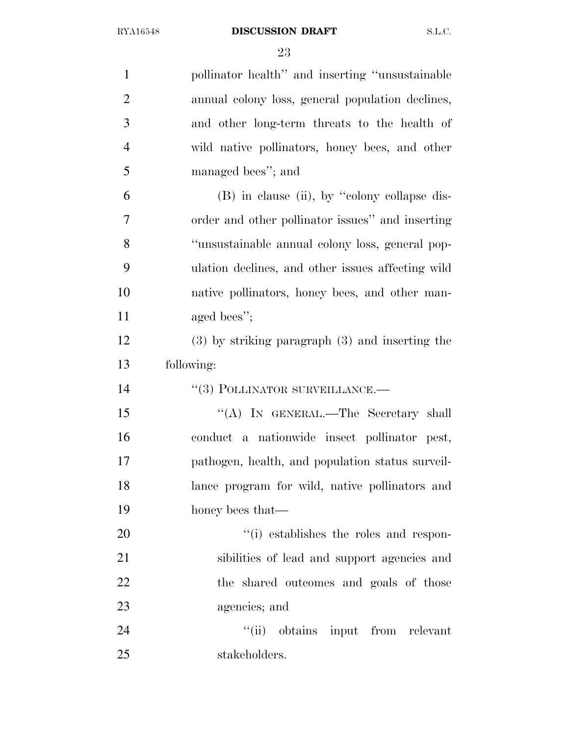| $\mathbf{1}$   | pollinator health" and inserting "unsustainable"    |
|----------------|-----------------------------------------------------|
| $\overline{2}$ | annual colony loss, general population declines,    |
| 3              | and other long-term threats to the health of        |
| $\overline{4}$ | wild native pollinators, honey bees, and other      |
| 5              | managed bees"; and                                  |
| 6              | $(B)$ in clause (ii), by "colony collapse dis-      |
| $\overline{7}$ | order and other pollinator issues" and inserting    |
| 8              | "unsustainable annual colony loss, general pop-     |
| 9              | ulation declines, and other issues affecting wild   |
| 10             | native pollinators, honey bees, and other man-      |
| 11             | aged bees";                                         |
| 12             | $(3)$ by striking paragraph $(3)$ and inserting the |
| 13             | following:                                          |
| 14             | $``(3)$ POLLINATOR SURVEILLANCE.—                   |
| 15             | "(A) IN GENERAL.—The Secretary shall                |
| 16             | conduct a nationwide insect pollinator pest,        |
| 17             | pathogen, health, and population status surveil-    |
| 18             | lance program for wild, native pollinators and      |
| 19             | honey bees that—                                    |
| 20             | "(i) establishes the roles and respon-              |
| 21             | sibilities of lead and support agencies and         |
| 22             | the shared outcomes and goals of those              |
| 23             | agencies; and                                       |
| 24             | "(ii) obtains input from relevant                   |
| 25             | stakeholders.                                       |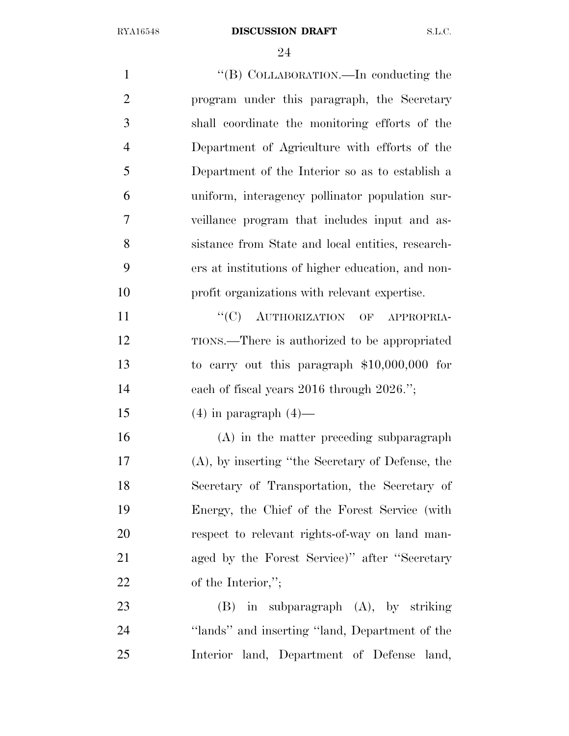| $\mathbf{1}$   | "(B) COLLABORATION.—In conducting the               |
|----------------|-----------------------------------------------------|
| $\overline{2}$ | program under this paragraph, the Secretary         |
| 3              | shall coordinate the monitoring efforts of the      |
| $\overline{4}$ | Department of Agriculture with efforts of the       |
| 5              | Department of the Interior so as to establish a     |
| 6              | uniform, interagency pollinator population sur-     |
| 7              | veillance program that includes input and as-       |
| 8              | sistance from State and local entities, research-   |
| 9              | ers at institutions of higher education, and non-   |
| 10             | profit organizations with relevant expertise.       |
| 11             | "(C) AUTHORIZATION OF APPROPRIA-                    |
| 12             | TIONS.—There is authorized to be appropriated       |
| 13             | to carry out this paragraph $$10,000,000$ for       |
| 14             | each of fiscal years $2016$ through $2026$ .";      |
| 15             | $(4)$ in paragraph $(4)$ —                          |
| 16             | (A) in the matter preceding subparagraph            |
| 17             | $(A)$ , by inserting "the Secretary of Defense, the |
| 18             | Secretary of Transportation, the Secretary of       |
| 19             | Energy, the Chief of the Forest Service (with       |
| 20             | respect to relevant rights-of-way on land man-      |
| 21             | aged by the Forest Service)" after "Secretary       |
| 22             | of the Interior,";                                  |
| 23             | $(B)$ in subparagraph $(A)$ , by striking           |
| 24             | "lands" and inserting "land, Department of the      |

Interior land, Department of Defense land,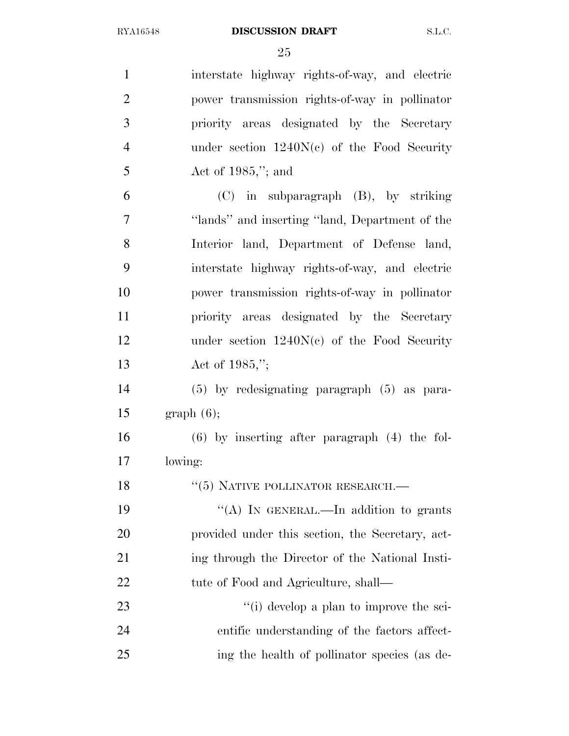| $\mathbf{1}$   | interstate highway rights-of-way, and electric    |
|----------------|---------------------------------------------------|
| $\overline{2}$ | power transmission rights-of-way in pollinator    |
| 3              | priority areas designated by the Secretary        |
| $\overline{4}$ | under section $1240N(c)$ of the Food Security     |
| 5              | Act of $1985$ ,"; and                             |
| 6              | $(C)$ in subparagraph $(B)$ , by striking         |
| 7              | "lands" and inserting "land, Department of the    |
| 8              | Interior land, Department of Defense land,        |
| 9              | interstate highway rights-of-way, and electric    |
| 10             | power transmission rights-of-way in pollinator    |
| 11             | priority areas designated by the Secretary        |
| 12             | under section $1240N(c)$ of the Food Security     |
| 13             | Act of $1985$ ,";                                 |
| 14             | (5) by redesignating paragraph (5) as para-       |
| 15             | graph(6);                                         |
| 16             | $(6)$ by inserting after paragraph $(4)$ the fol- |
| 17             | lowing:                                           |
| 18             | $``(5)$ NATIVE POLLINATOR RESEARCH.—              |
| 19             | "(A) IN GENERAL.—In addition to grants            |
| 20             | provided under this section, the Secretary, act-  |
| 21             | ing through the Director of the National Insti-   |
| 22             | tute of Food and Agriculture, shall—              |
| 23             | $\lq\lq$ (i) develop a plan to improve the sci-   |
| 24             | entific understanding of the factors affect-      |
| 25             | ing the health of pollinator species (as de-      |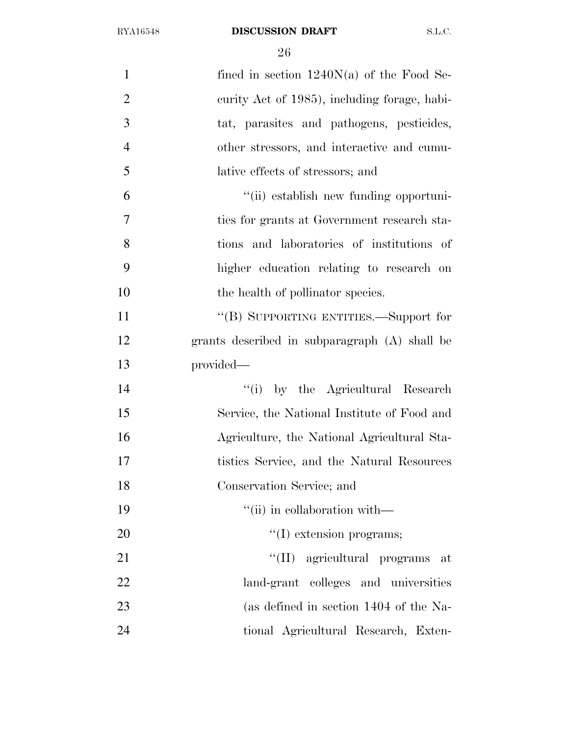| $\mathbf{1}$   | fined in section $1240N(a)$ of the Food Se-   |
|----------------|-----------------------------------------------|
| $\overline{2}$ | curity Act of 1985), including forage, habi-  |
| 3              | tat, parasites and pathogens, pesticides,     |
| $\overline{4}$ | other stressors, and interactive and cumu-    |
| 5              | lative effects of stressors; and              |
| 6              | "(ii) establish new funding opportuni-        |
| 7              | ties for grants at Government research sta-   |
| 8              | tions and laboratories of institutions of     |
| 9              | higher education relating to research on      |
| 10             | the health of pollinator species.             |
| 11             | "(B) SUPPORTING ENTITIES.—Support for         |
| 12             | grants described in subparagraph (A) shall be |
| 13             | provided—                                     |
| 14             | "(i) by the Agricultural Research             |
| 15             | Service, the National Institute of Food and   |
| 16             | Agriculture, the National Agricultural Sta-   |
| 17             | tistics Service, and the Natural Resources    |
| 18             | Conservation Service; and                     |
| 19             | $``$ (ii) in collaboration with—              |
| 20             | $\lq\lq$ extension programs;                  |
| 21             | "(II) agricultural programs at                |
| 22             | land-grant colleges and universities          |
| 23             | (as defined in section 1404 of the Na-        |
| 24             | tional Agricultural Research, Exten-          |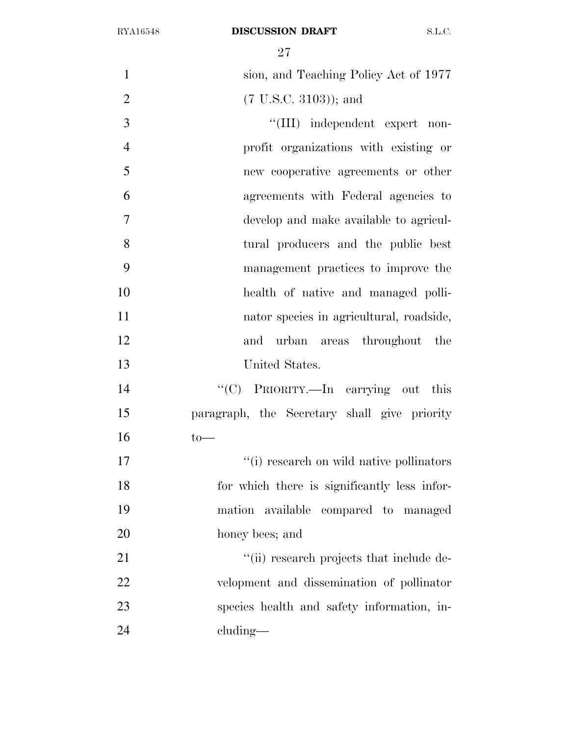| $\mathbf{1}$   | sion, and Teaching Policy Act of 1977        |
|----------------|----------------------------------------------|
| $\overline{2}$ | $(7 \text{ U.S.C. } 3103)$ ); and            |
| 3              | "(III) independent expert non-               |
| $\overline{4}$ | profit organizations with existing or        |
| 5              | new cooperative agreements or other          |
| 6              | agreements with Federal agencies to          |
| $\tau$         | develop and make available to agricul-       |
| 8              | tural producers and the public best          |
| 9              | management practices to improve the          |
| 10             | health of native and managed polli-          |
| 11             | nator species in agricultural, roadside,     |
| 12             | and<br>urban areas throughout the            |
| 13             | United States.                               |
| 14             | "(C) PRIORITY.—In carrying out this          |
| 15             | paragraph, the Secretary shall give priority |
| 16             | $to-$                                        |
| 17             | "(i) research on wild native pollinators     |
| 18             | for which there is significantly less infor- |
| 19             | mation available compared to managed         |
| 20             | honey bees; and                              |
| 21             | "(ii) research projects that include de-     |
| 22             | velopment and dissemination of pollinator    |
| 23             | species health and safety information, in-   |
| 24             | cluding—                                     |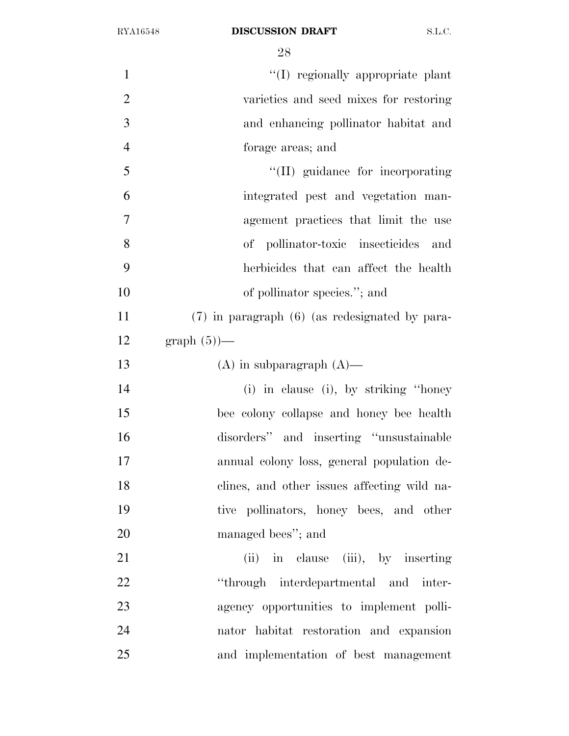$\text{``(I)~regionally appropriate plant}$  varieties and seed mixes for restoring and enhancing pollinator habitat and forage areas; and  $\frac{1}{2}$  (II) guidance for incorporating integrated pest and vegetation man- agement practices that limit the use of pollinator-toxic insecticides and herbicides that can affect the health 10 of pollinator species."; and (7) in paragraph (6) (as redesignated by para-12 graph  $(5)$ — 13 (A) in subparagraph  $(A)$ — (i) in clause (i), by striking ''honey bee colony collapse and honey bee health disorders'' and inserting ''unsustainable annual colony loss, general population de- clines, and other issues affecting wild na- tive pollinators, honey bees, and other managed bees''; and 21 (ii) in clause (iii), by inserting 22 "through interdepartmental and inter- agency opportunities to implement polli- nator habitat restoration and expansion and implementation of best management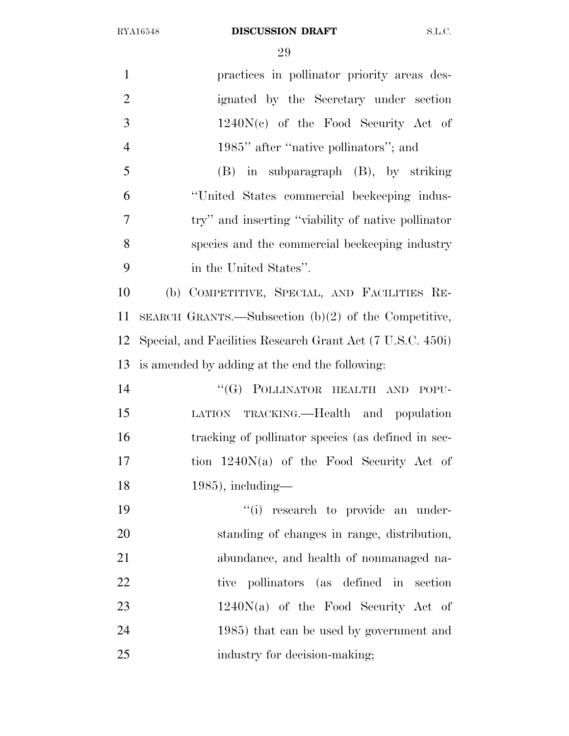| $\mathbf{1}$   | practices in pollinator priority areas des-                |
|----------------|------------------------------------------------------------|
| $\overline{2}$ | ignated by the Secretary under section                     |
| 3              | $1240N(c)$ of the Food Security Act of                     |
| $\overline{4}$ | 1985" after "native pollinators"; and                      |
| 5              | $(B)$ in subparagraph $(B)$ , by striking                  |
| 6              | "United States commercial beekeeping indus-                |
| 7              | try" and inserting "viability of native pollinator"        |
| 8              | species and the commercial beekeeping industry             |
| 9              | in the United States".                                     |
| 10             | (b) COMPETITIVE, SPECIAL, AND FACILITIES RE-               |
| 11             | SEARCH GRANTS.—Subsection $(b)(2)$ of the Competitive,     |
| 12             | Special, and Facilities Research Grant Act (7 U.S.C. 450i) |
| 13             | is amended by adding at the end the following:             |
| 14             | "(G) POLLINATOR HEALTH AND POPU-                           |
| 15             | LATION TRACKING.—Health and population                     |
| 16             | tracking of pollinator species (as defined in sec-         |
| 17             | tion $1240N(a)$ of the Food Security Act of                |
| 18             | $1985$ , including—                                        |
| 19             | "(i) research to provide an under-                         |
| 20             | standing of changes in range, distribution,                |
| 21             | abundance, and health of nonmanaged na-                    |
| 22             | pollinators (as defined in section<br>tive                 |
| 23             | $1240N(a)$ of the Food Security Act of                     |
| 24             | 1985) that can be used by government and                   |
| 25             | industry for decision-making;                              |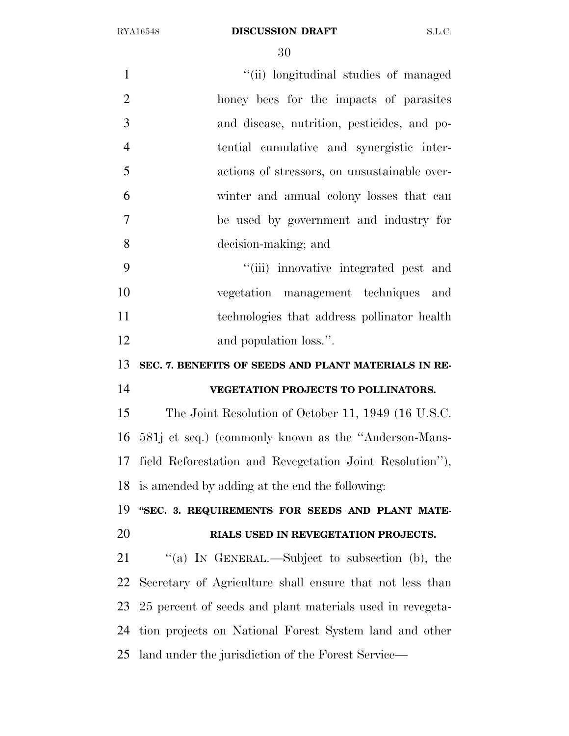| $\mathbf{1}$   | "(ii) longitudinal studies of managed                     |
|----------------|-----------------------------------------------------------|
| $\overline{2}$ | honey bees for the impacts of parasites                   |
| 3              | and disease, nutrition, pesticides, and po-               |
| $\overline{4}$ | tential cumulative and synergistic inter-                 |
| 5              | actions of stressors, on unsustainable over-              |
| 6              | winter and annual colony losses that can                  |
| $\overline{7}$ | be used by government and industry for                    |
| 8              | decision-making; and                                      |
| 9              | "(iii) innovative integrated pest and                     |
| 10             | vegetation management techniques and                      |
| 11             | technologies that address pollinator health               |
| 12             | and population loss.".                                    |
| 13             | SEC. 7. BENEFITS OF SEEDS AND PLANT MATERIALS IN RE-      |
| 14             | VEGETATION PROJECTS TO POLLINATORS.                       |
| 15             | The Joint Resolution of October 11, 1949 (16 U.S.C.       |
| 16             | 581j et seq.) (commonly known as the "Anderson-Mans-      |
| 17             | field Reforestation and Revegetation Joint Resolution"),  |
|                | 18 is amended by adding at the end the following:         |
| 19             | "SEC. 3. REQUIREMENTS FOR SEEDS AND PLANT MATE-           |
| 20             | RIALS USED IN REVEGETATION PROJECTS.                      |
| 21             | "(a) IN GENERAL.—Subject to subsection (b), the           |
| 22             | Secretary of Agriculture shall ensure that not less than  |
| 23             | 25 percent of seeds and plant materials used in revegeta- |
| 24             | tion projects on National Forest System land and other    |
| 25             | land under the jurisdiction of the Forest Service—        |